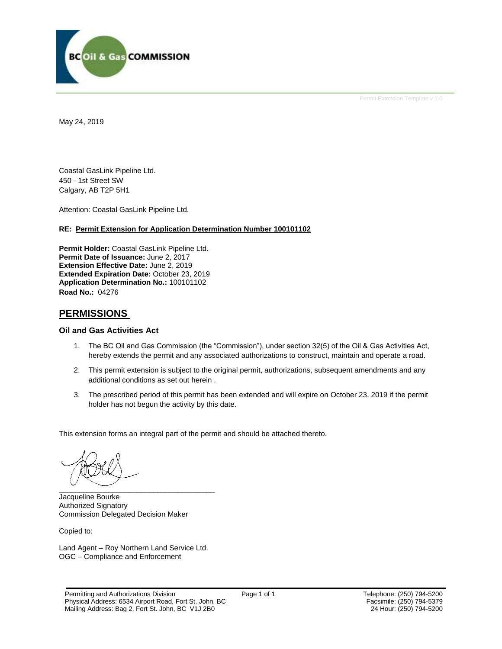

Permit Extension Template v 1.0

May 24, 2019

Coastal GasLink Pipeline Ltd. 450 - 1st Street SW Calgary, AB T2P 5H1

Attention: Coastal GasLink Pipeline Ltd.

#### **RE: Permit Extension for Application Determination Number 100101102**

**Permit Holder:** Coastal GasLink Pipeline Ltd. **Permit Date of Issuance:** June 2, 2017 **Extension Effective Date:** June 2, 2019 **Extended Expiration Date:** October 23, 2019 **Application Determination No.:** 100101102 **Road No.:** 04276

### **PERMISSIONS**

#### **Oil and Gas Activities Act**

- 1. The BC Oil and Gas Commission (the "Commission"), under section 32(5) of the Oil & Gas Activities Act, hereby extends the permit and any associated authorizations to construct, maintain and operate a road.
- 2. This permit extension is subject to the original permit, authorizations, subsequent amendments and any additional conditions as set out herein .
- 3. The prescribed period of this permit has been extended and will expire on October 23, 2019 if the permit holder has not begun the activity by this date.

This extension forms an integral part of the permit and should be attached thereto.

 $\overbrace{\phantom{xxxxx}}$ 

Jacqueline Bourke Authorized Signatory Commission Delegated Decision Maker

Copied to:

Land Agent – Roy Northern Land Service Ltd. OGC – Compliance and Enforcement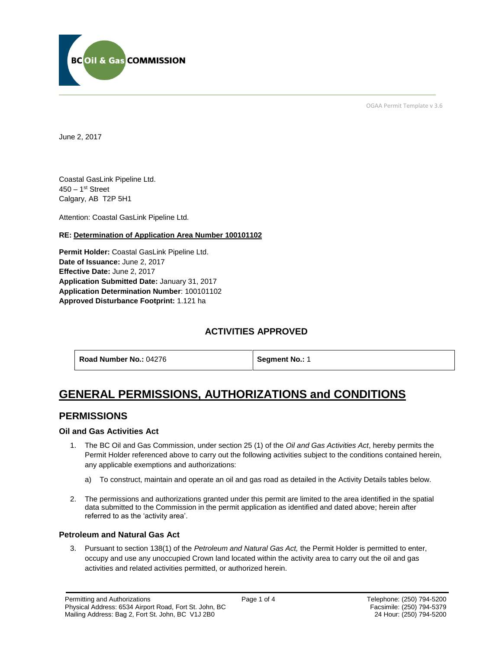

OGAA Permit Template v 3.6

June 2, 2017

Coastal GasLink Pipeline Ltd. 450 – 1st Street Calgary, AB T2P 5H1

[Attention:](#page-1-0) Coastal GasLink Pipeline Ltd.

#### **RE: Determination of Application Area Number 100101102**

**[Permit Holder:](#page-1-0)** Coastal GasLink Pipeline Ltd. **[Date of Issuance:](#page-1-0)** June 2, 2017 **[Effective Date:](#page-1-1)** June 2, 2017 **[Application Submitted Date:](#page-1-0)** January 31, 2017 **Application [Determination Number](#page-1-0)**: 100101102 **Approved Disturbance Footprint:** 1.121 ha

## **ACTIVITIES APPROVED**

**[Road Number No.:](#page-1-0) 04276 <b>[Segment No.:](https://bi.bcogc.ca/Application%20Processing/Interactive%20Reports/(BIL-041)%20AMS%20Decision%20Summary.aspx) 1** 

<span id="page-1-1"></span>

# **GENERAL PERMISSIONS, AUTHORIZATIONS and CONDITIONS**

### **PERMISSIONS**

#### **Oil and Gas Activities Act**

- <span id="page-1-0"></span>1. The BC Oil and Gas Commission, under section 25 (1) of the *Oil and Gas Activities Act*, hereby permits the Permit Holder referenced above to carry out the following activities subject to the conditions contained herein, any applicable exemptions and authorizations:
	- a) To construct, maintain and operate an oil and gas road as detailed in the Activity Details tables below.
- 2. The permissions and authorizations granted under this permit are limited to the area identified in the spatial data submitted to the Commission in the permit application as identified and dated above; herein after referred to as the 'activity area'.

#### **Petroleum and Natural Gas Act**

3. Pursuant to section 138(1) of the *Petroleum and Natural Gas Act,* the Permit Holder is permitted to enter, occupy and use any unoccupied Crown land located within the activity area to carry out the oil and gas activities and related activities permitted, or authorized herein.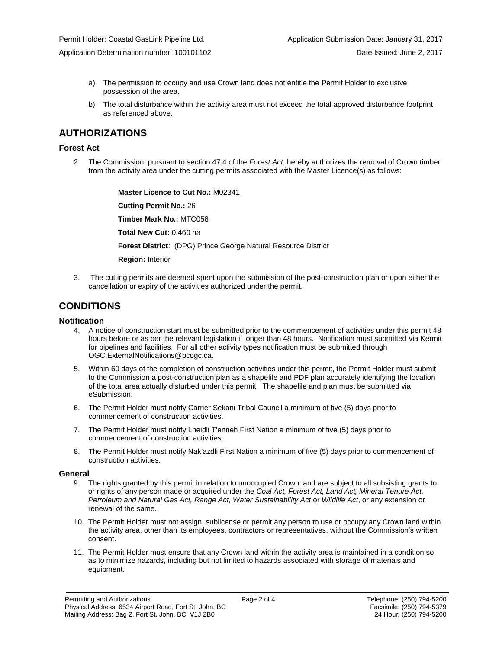Application Determination number: 100101102 Date Issued: June 2, 2017

- a) The permission to occupy and use Crown land does not entitle the Permit Holder to exclusive possession of the area.
- b) The total disturbance within the activity area must not exceed the total approved disturbance footprint as referenced above.

## **AUTHORIZATIONS**

#### **Forest Act**

2. The Commission, pursuant to section 47.4 of the *Forest Act*, hereby authorizes the removal of Crown timber from the activity area under the cutting permits associated with the Master Licence(s) as follows:

> **[Master Licence to Cut No.:](#page-1-0)** M02341 **[Cutting Permit No.:](#page-1-0)** 26 **[Timber Mark No.:](#page-1-0)** MTC058 **[Total New Cut:](#page-1-0)** 0.460 ha **[Forest District](https://ams-crd.bcogc.ca/crd/)**: (DPG) Prince George Natural Resource District **[Region:](#page-1-1)** Interior

3. The cutting permits are deemed spent upon the submission of the post-construction plan or upon either the cancellation or expiry of the activities authorized under the permit.

## **CONDITIONS**

#### **Notification**

- 4. A notice of construction start must be submitted prior to the commencement of activities under this permit 48 hours before or as per the relevant legislation if longer than 48 hours. Notification must submitted via Kermit for pipelines and facilities. For all other activity types notification must be submitted through [OGC.ExternalNotifications@bcogc.ca.](mailto:OGC.ExternalNotifications@bcogc.ca)
- 5. Within 60 days of the completion of construction activities under this permit, the Permit Holder must submit to the Commission a post-construction plan as a shapefile and PDF plan accurately identifying the location of the total area actually disturbed under this permit. The shapefile and plan must be submitted via eSubmission.
- 6. The Permit Holder must notify Carrier Sekani Tribal Council a minimum of five (5) days prior to commencement of construction activities.
- 7. The Permit Holder must notify Lheidli T'enneh First Nation a minimum of five (5) days prior to commencement of construction activities.
- 8. The Permit Holder must notify Nak'azdli First Nation a minimum of five (5) days prior to commencement of construction activities.

#### **General**

- 9. The rights granted by this permit in relation to unoccupied Crown land are subject to all subsisting grants to or rights of any person made or acquired under the *Coal Act, Forest Act, Land Act, Mineral Tenure Act, Petroleum and Natural Gas Act, Range Act, Water Sustainability Act* or *Wildlife Act*, or any extension or renewal of the same.
- 10. The Permit Holder must not assign, sublicense or permit any person to use or occupy any Crown land within the activity area, other than its employees, contractors or representatives, without the Commission's written consent.
- 11. The Permit Holder must ensure that any Crown land within the activity area is maintained in a condition so as to minimize hazards, including but not limited to hazards associated with storage of materials and equipment.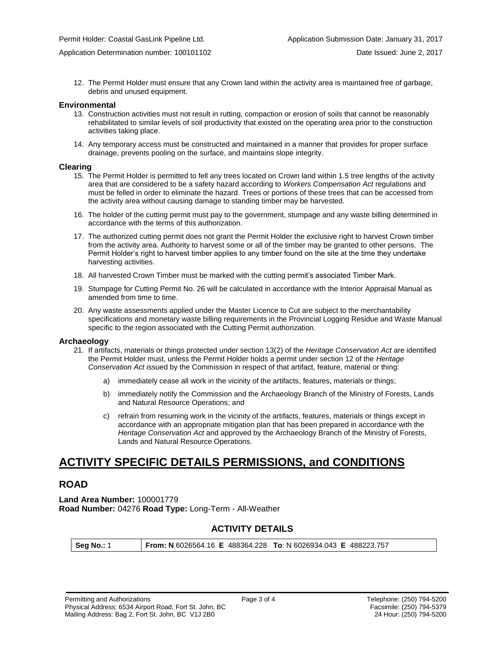12. The Permit Holder must ensure that any Crown land within the activity area is maintained free of garbage, debris and unused equipment.

#### **Environmental**

- 13. Construction activities must not result in rutting, compaction or erosion of soils that cannot be reasonably rehabilitated to similar levels of soil productivity that existed on the operating area prior to the construction activities taking place.
- 14. Any temporary access must be constructed and maintained in a manner that provides for proper surface drainage, prevents pooling on the surface, and maintains slope integrity.

#### **Clearing**

- 15. The Permit Holder is permitted to fell any trees located on Crown land within 1.5 tree lengths of the activity area that are considered to be a safety hazard according to *Workers Compensation Act* regulations and must be felled in order to eliminate the hazard. Trees or portions of these trees that can be accessed from the activity area without causing damage to standing timber may be harvested.
- 16. The holder of the cutting permit must pay to the government, stumpage and any waste billing determined in accordance with the terms of this authorization.
- 17. The authorized cutting permit does not grant the Permit Holder the exclusive right to harvest Crown timber from the activity area. Authority to harvest some or all of the timber may be granted to other persons. The Permit Holder's right to harvest timber applies to any timber found on the site at the time they undertake harvesting activities.
- 18. All harvested Crown Timber must be marked with the cutting permit's associated Timber Mark.
- 19. Stumpage for Cutting Permit No. 26 will be calculated in accordance with the Interior Appraisal Manual as amended from time to time.
- 20. Any waste assessments applied under the Master Licence to Cut are subject to the merchantability specifications and monetary waste billing requirements in the Provincial Logging Residue and Waste Manual specific to the region associated with the Cutting Permit authorization.

#### **Archaeology**

- 21. If artifacts, materials or things protected under section 13(2) of the *Heritage Conservation Act* are identified the Permit Holder must, unless the Permit Holder holds a permit under section 12 of the *Heritage Conservation Act* issued by the Commission in respect of that artifact, feature, material or thing:
	- a) immediately cease all work in the vicinity of the artifacts, features, materials or things;
	- b) immediately notify the Commission and the Archaeology Branch of the Ministry of Forests, Lands and Natural Resource Operations; and
	- c) refrain from resuming work in the vicinity of the artifacts, features, materials or things except in accordance with an appropriate mitigation plan that has been prepared in accordance with the *Heritage Conservation Act* and approved by the Archaeology Branch of the Ministry of Forests, Lands and Natural Resource Operations.

## **ACTIVITY SPECIFIC DETAILS PERMISSIONS, and CONDITIONS**

#### **ROAD**

**Land Area Number:** 100001779 **Road Number:** 04276 **Road Type:** Long-Term - All-Weather

#### **ACTIVITY DETAILS**

**Seg No.:** 1 **From: N** 6026564.16 **E** 488364.228 **To**: N 6026934.043 **E** 488223.757